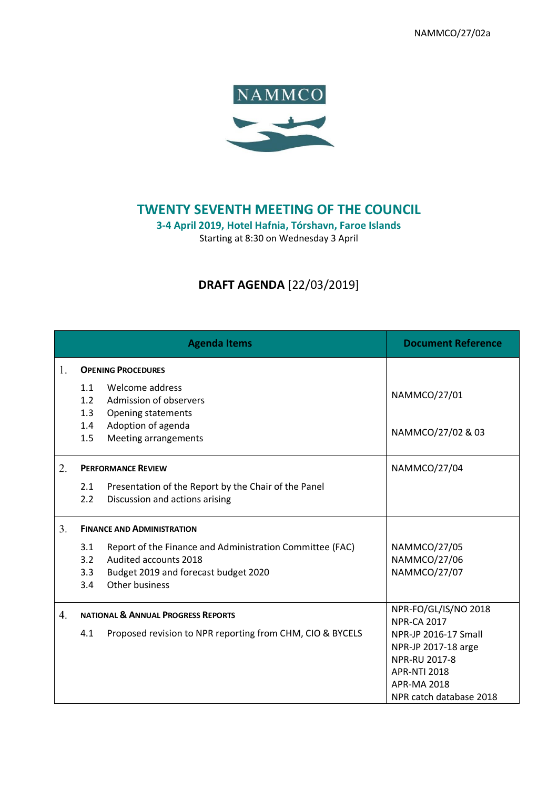NAMMCO/27/02a



## **TWENTY SEVENTH MEETING OF THE COUNCIL**

**3-4 April 2019, Hotel Hafnia, Tórshavn, Faroe Islands**

Starting at 8:30 on Wednesday 3 April

## **DRAFT AGENDA** [22/03/2019]

|    | <b>Agenda Items</b>                                                                                                                                                     | <b>Document Reference</b>                                                                                                            |
|----|-------------------------------------------------------------------------------------------------------------------------------------------------------------------------|--------------------------------------------------------------------------------------------------------------------------------------|
| 1. | <b>OPENING PROCEDURES</b>                                                                                                                                               |                                                                                                                                      |
|    | Welcome address<br>1.1<br>1.2<br>Admission of observers<br>1.3<br><b>Opening statements</b><br>Adoption of agenda<br>1.4<br>1.5<br>Meeting arrangements                 | NAMMCO/27/01<br>NAMMCO/27/02 & 03                                                                                                    |
| 2. | <b>PERFORMANCE REVIEW</b>                                                                                                                                               | NAMMCO/27/04                                                                                                                         |
|    | Presentation of the Report by the Chair of the Panel<br>2.1<br>2.2<br>Discussion and actions arising                                                                    |                                                                                                                                      |
| 3. | <b>FINANCE AND ADMINISTRATION</b>                                                                                                                                       |                                                                                                                                      |
|    | Report of the Finance and Administration Committee (FAC)<br>3.1<br>3.2<br>Audited accounts 2018<br>Budget 2019 and forecast budget 2020<br>3.3<br>Other business<br>3.4 | NAMMCO/27/05<br><b>NAMMCO/27/06</b><br><b>NAMMCO/27/07</b>                                                                           |
| 4. | <b>NATIONAL &amp; ANNUAL PROGRESS REPORTS</b>                                                                                                                           | NPR-FO/GL/IS/NO 2018<br><b>NPR-CA 2017</b>                                                                                           |
|    | 4.1<br>Proposed revision to NPR reporting from CHM, CIO & BYCELS                                                                                                        | NPR-JP 2016-17 Small<br>NPR-JP 2017-18 arge<br>NPR-RU 2017-8<br><b>APR-NTI 2018</b><br><b>APR-MA 2018</b><br>NPR catch database 2018 |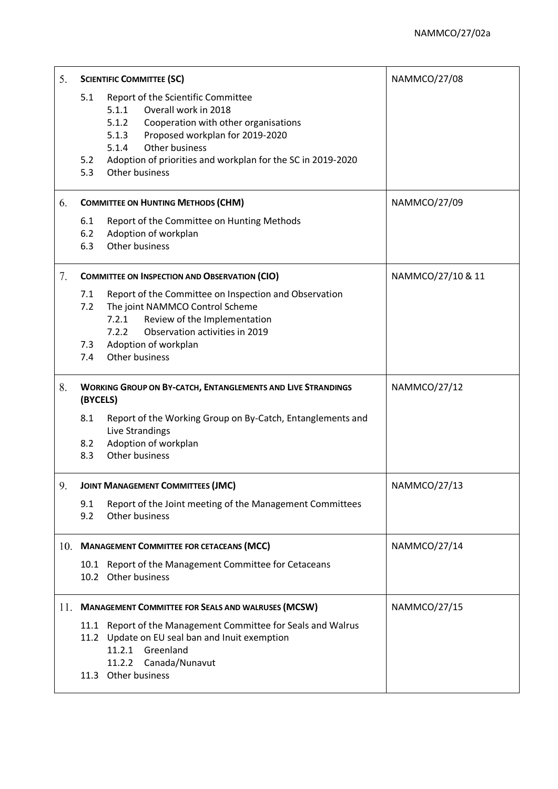| 5.  | <b>SCIENTIFIC COMMITTEE (SC)</b>                                                                                                                                                                                                                                                                  |  | <b>NAMMCO/27/08</b> |
|-----|---------------------------------------------------------------------------------------------------------------------------------------------------------------------------------------------------------------------------------------------------------------------------------------------------|--|---------------------|
|     | 5.1<br>Report of the Scientific Committee<br>Overall work in 2018<br>5.1.1<br>5.1.2<br>Cooperation with other organisations<br>Proposed workplan for 2019-2020<br>5.1.3<br>Other business<br>5.1.4<br>Adoption of priorities and workplan for the SC in 2019-2020<br>5.2<br>5.3<br>Other business |  |                     |
| 6.  | <b>COMMITTEE ON HUNTING METHODS (CHM)</b>                                                                                                                                                                                                                                                         |  | NAMMCO/27/09        |
|     | Report of the Committee on Hunting Methods<br>6.1<br>6.2<br>Adoption of workplan<br>Other business<br>6.3                                                                                                                                                                                         |  |                     |
| 7.  | <b>COMMITTEE ON INSPECTION AND OBSERVATION (CIO)</b>                                                                                                                                                                                                                                              |  | NAMMCO/27/10 & 11   |
|     | 7.1<br>Report of the Committee on Inspection and Observation<br>The joint NAMMCO Control Scheme<br>7.2<br>7.2.1<br>Review of the Implementation<br>Observation activities in 2019<br>7.2.2<br>Adoption of workplan<br>7.3<br>Other business<br>7.4                                                |  |                     |
| 8.  | <b>WORKING GROUP ON BY-CATCH, ENTANGLEMENTS AND LIVE STRANDINGS</b>                                                                                                                                                                                                                               |  | NAMMCO/27/12        |
|     | (BYCELS)                                                                                                                                                                                                                                                                                          |  |                     |
|     | 8.1<br>Report of the Working Group on By-Catch, Entanglements and<br>Live Strandings<br>Adoption of workplan<br>8.2<br>Other business<br>8.3                                                                                                                                                      |  |                     |
| 9.  | <b>JOINT MANAGEMENT COMMITTEES (JMC)</b>                                                                                                                                                                                                                                                          |  | NAMMCO/27/13        |
|     | 9.1<br>Report of the Joint meeting of the Management Committees<br>Other business<br>9.2                                                                                                                                                                                                          |  |                     |
| 10. | <b>MANAGEMENT COMMITTEE FOR CETACEANS (MCC)</b>                                                                                                                                                                                                                                                   |  | NAMMCO/27/14        |
|     | 10.1 Report of the Management Committee for Cetaceans<br>10.2 Other business                                                                                                                                                                                                                      |  |                     |
|     | 11. MANAGEMENT COMMITTEE FOR SEALS AND WALRUSES (MCSW)                                                                                                                                                                                                                                            |  | NAMMCO/27/15        |
|     | Report of the Management Committee for Seals and Walrus<br>11.1<br>11.2 Update on EU seal ban and Inuit exemption<br>11.2.1 Greenland<br>11.2.2 Canada/Nunavut<br>11.3 Other business                                                                                                             |  |                     |